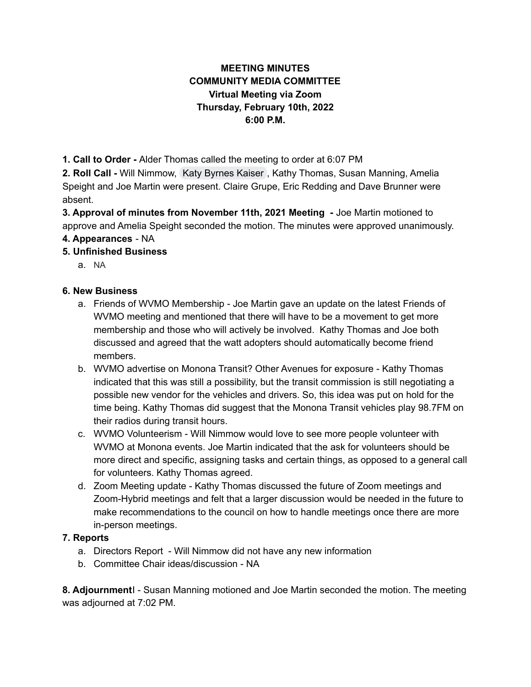## **MEETING MINUTES COMMUNITY MEDIA COMMITTEE Virtual Meeting via Zoom Thursday, February 10th, 2022 6:00 P.M.**

**1. Call to Order -** Alder Thomas called the meeting to order at 6:07 PM

**2. Roll Call -** Will Nimmow, Katy [Byrnes](mailto:kathleen.kaiser@mgschools.net) Kaiser , Kathy Thomas, Susan Manning, Amelia Speight and Joe Martin were present. Claire Grupe, Eric Redding and Dave Brunner were absent.

**3. Approval of minutes from November 11th, 2021 Meeting -** Joe Martin motioned to approve and Amelia Speight seconded the motion. The minutes were approved unanimously.

**4. Appearances** - NA

## **5. Unfinished Business**

a. NA

## **6. New Business**

- a. Friends of WVMO Membership Joe Martin gave an update on the latest Friends of WVMO meeting and mentioned that there will have to be a movement to get more membership and those who will actively be involved. Kathy Thomas and Joe both discussed and agreed that the watt adopters should automatically become friend members.
- b. WVMO advertise on Monona Transit? Other Avenues for exposure Kathy Thomas indicated that this was still a possibility, but the transit commission is still negotiating a possible new vendor for the vehicles and drivers. So, this idea was put on hold for the time being. Kathy Thomas did suggest that the Monona Transit vehicles play 98.7FM on their radios during transit hours.
- c. WVMO Volunteerism Will Nimmow would love to see more people volunteer with WVMO at Monona events. Joe Martin indicated that the ask for volunteers should be more direct and specific, assigning tasks and certain things, as opposed to a general call for volunteers. Kathy Thomas agreed.
- d. Zoom Meeting update Kathy Thomas discussed the future of Zoom meetings and Zoom-Hybrid meetings and felt that a larger discussion would be needed in the future to make recommendations to the council on how to handle meetings once there are more in-person meetings.

## **7. Reports**

- a. Directors Report Will Nimmow did not have any new information
- b. Committee Chair ideas/discussion NA

**8. Adjournment**I - Susan Manning motioned and Joe Martin seconded the motion. The meeting was adjourned at 7:02 PM.